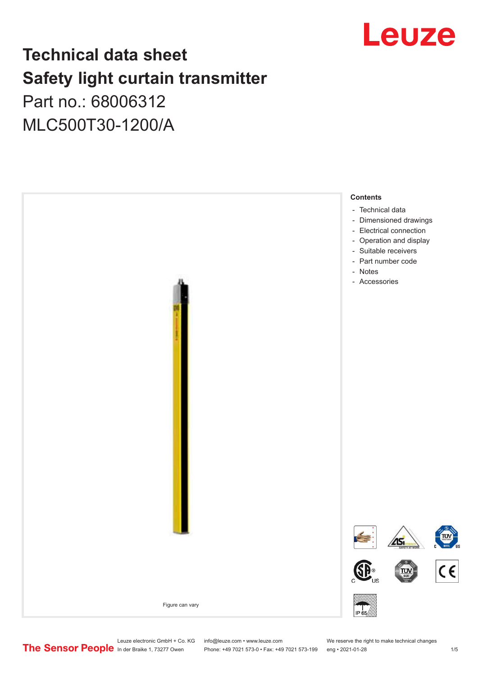

## **Technical data sheet Safety light curtain transmitter** Part no.: 68006312

MLC500T30-1200/A



Leuze electronic GmbH + Co. KG info@leuze.com • www.leuze.com We reserve the right to make technical changes<br>
The Sensor People in der Braike 1, 73277 Owen Phone: +49 7021 573-0 • Fax: +49 7021 573-199 eng • 2021-01-28

Phone: +49 7021 573-0 • Fax: +49 7021 573-199 eng • 2021-01-28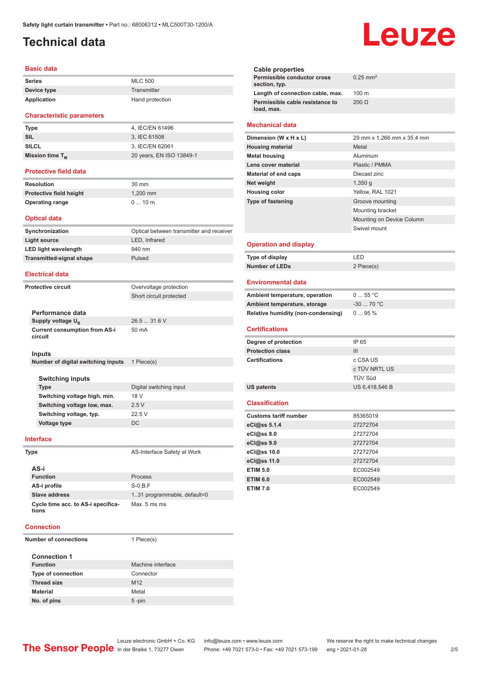## <span id="page-1-0"></span>**Technical data**

#### **Basic data**

| Series      | <b>MLC 500</b>  |
|-------------|-----------------|
| Device type | Transmitter     |
| Application | Hand protection |

#### **Characteristic parameters**

| Type                 | 4. IEC/EN 61496          |
|----------------------|--------------------------|
| SIL                  | 3. IEC 61508             |
| SILCL                | 3. IEC/EN 62061          |
| Mission time $T_{M}$ | 20 years, EN ISO 13849-1 |

#### **Protective field data**

| Resolution              | 30 mm      |
|-------------------------|------------|
| Protective field height | $1.200$ mm |
| <b>Operating range</b>  | $010$ m    |

#### **Optical data**

| Synchronization                 | Optical between transmitter and receiver |
|---------------------------------|------------------------------------------|
| Light source                    | LED. Infrared                            |
| <b>LED light wavelength</b>     | 940 nm                                   |
| <b>Transmitted-signal shape</b> | Pulsed                                   |
|                                 |                                          |

#### **Electrical data**

**Protective circuit** 

| Overvoltage protection  |
|-------------------------|
| Short circuit protected |

26.5 ... 31.6 V

50 mA

| Performance data                     |
|--------------------------------------|
| Supply voltage U <sub>p</sub>        |
| <b>Current consumption from AS-i</b> |
| circuit                              |

#### **Inputs**

**Number of digital switching inputs** 1 Piece(s)

#### **Switching inputs**

| Type                         | Digital switching input |
|------------------------------|-------------------------|
| Switching voltage high, min. | 18 V                    |
| Switching voltage low, max.  | 2.5V                    |
| Switching voltage, typ.      | 22.5V                   |
| Voltage type                 | DC.                     |
|                              |                         |

#### **Interface**

**Type** AS-Interface Safety at Work

| AS-i                                        |                              |
|---------------------------------------------|------------------------------|
| <b>Function</b>                             | Process                      |
| AS-i profile                                | $S-0.B.F$                    |
| Slave address                               | 1.31 programmable, default=0 |
| Cycle time acc. to AS-i specifica-<br>tions | Max. 5 ms ms                 |

#### **Connection**

**Number of connections** 1 Piece(s)

| <b>Connection 1</b> |  |  |
|---------------------|--|--|
| Machine interface   |  |  |
| Connector           |  |  |
| M <sub>12</sub>     |  |  |
| Metal               |  |  |
| $5$ -pin            |  |  |
|                     |  |  |

## Leuze

| <b>Cable properties</b>                       |                            |
|-----------------------------------------------|----------------------------|
| Permissible conductor cross<br>section, typ.  | $0.25$ mm <sup>2</sup>     |
| Length of connection cable, max.              | 100 <sub>m</sub>           |
| Permissible cable resistance to<br>load, max. | $200 \Omega$               |
| Mechanical data                               |                            |
| Dimension (W x H x L)                         | 29 mm x 1,266 mm x 35.4 mm |
| <b>Housing material</b>                       | Metal                      |
| <b>Metal housing</b>                          | Aluminum                   |
| Lens cover material                           | Plastic / PMMA             |
| <b>Material of end caps</b>                   | Diecast zinc               |
| Net weight                                    | $1,350$ g                  |
| <b>Housing color</b>                          | Yellow, RAL 1021           |
| <b>Type of fastening</b>                      | Groove mounting            |
|                                               | Mounting bracket           |
|                                               | Mounting on Device Column  |
|                                               | Swivel mount               |
| <b>Operation and display</b>                  |                            |
| <b>Type of display</b>                        | LED                        |
| <b>Number of LEDs</b>                         | 2 Piece(s)                 |
|                                               |                            |
| <b>Environmental data</b>                     |                            |
| Ambient temperature, operation                | 055 °C                     |
| Ambient temperature, storage                  | $-3070 °C$                 |
| <b>Relative humidity (non-condensing)</b>     | 095%                       |
| <b>Certifications</b>                         |                            |
|                                               |                            |
| Degree of protection                          | IP 65                      |
| <b>Protection class</b>                       | III                        |
| <b>Certifications</b>                         | c CSA US                   |
|                                               | c TÜV NRTL US              |
|                                               | TÜV Süd                    |
| <b>US patents</b>                             | US 6,418,546 B             |
| <b>Classification</b>                         |                            |
| <b>Customs tariff number</b>                  | 85365019                   |
| eCl@ss 5.1.4                                  | 27272704                   |
| eCl@ss 8.0                                    | 27272704                   |
| eCl@ss 9.0                                    | 27272704                   |
| eCl@ss 10.0                                   | 27272704                   |
| eCl@ss 11.0                                   | 27272704                   |
| <b>ETIM 5.0</b>                               | EC002549                   |
| <b>ETIM 6.0</b>                               | EC002549                   |
| <b>ETIM 7.0</b>                               | EC002549                   |
|                                               |                            |
|                                               |                            |
|                                               |                            |
|                                               |                            |
|                                               |                            |
|                                               |                            |
|                                               |                            |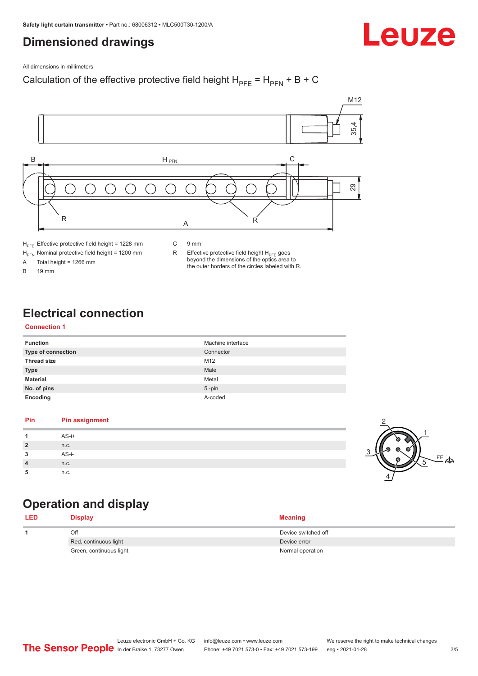## <span id="page-2-0"></span>**Dimensioned drawings**

## Leuze

All dimensions in millimeters

#### Calculation of the effective protective field height  $H_{PFE} = H_{PFN} + B + C$



 $H_{\text{PFN}}$  Nominal protective field height = 1200 mm<br>A Total height = 1266 mm

Total height =  $1266$  mm

B 19 mm

R Effective protective field height  $H_{PFE}$  goes beyond the dimensions of the optics area to the outer borders of the circles labeled with R.

## **Electrical connection**

#### **Connection 1**

| <b>Function</b>           | Machine interface |
|---------------------------|-------------------|
| <b>Type of connection</b> | Connector         |
| <b>Thread size</b>        | M12               |
| <b>Type</b>               | Male              |
| <b>Material</b>           | Metal             |
| No. of pins               | $5$ -pin          |
| Encoding                  | A-coded           |

#### **Pin Pin assignment 1** AS-i+ **2** n.c. **3** AS-i-**4** n.c. **5** n.c.



## **Operation and display**

| <b>LED</b> | <b>Display</b>          | <b>Meaning</b>      |
|------------|-------------------------|---------------------|
|            | Off                     | Device switched off |
|            | Red, continuous light   | Device error        |
|            | Green, continuous light | Normal operation    |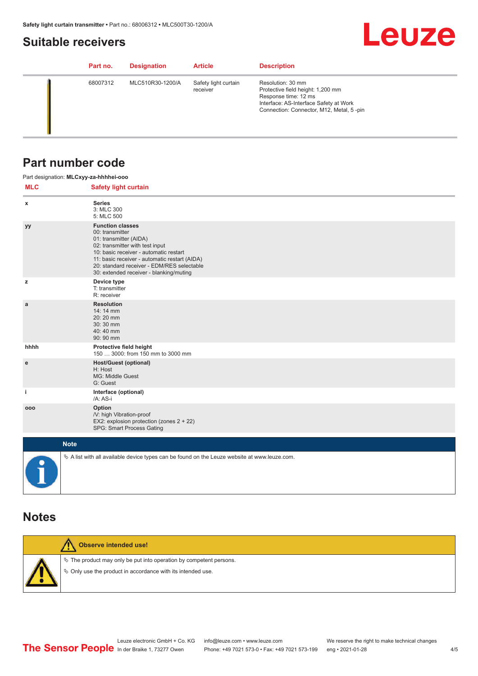## <span id="page-3-0"></span>**Suitable receivers**

## **Leuze**

| Part no. | <b>Designation</b> | <b>Article</b>                   | <b>Description</b>                                                                                                                                                   |
|----------|--------------------|----------------------------------|----------------------------------------------------------------------------------------------------------------------------------------------------------------------|
| 68007312 | MLC510R30-1200/A   | Safety light curtain<br>receiver | Resolution: 30 mm<br>Protective field height: 1,200 mm<br>Response time: 12 ms<br>Interface: AS-Interface Safety at Work<br>Connection: Connector, M12, Metal, 5-pin |

### **Part number code**

|            | Part designation: MLCxyy-za-hhhhei-ooo                                                                                                                                                                                                                                                      |
|------------|---------------------------------------------------------------------------------------------------------------------------------------------------------------------------------------------------------------------------------------------------------------------------------------------|
| <b>MLC</b> | <b>Safety light curtain</b>                                                                                                                                                                                                                                                                 |
| x          | <b>Series</b><br>3: MLC 300<br>5: MLC 500                                                                                                                                                                                                                                                   |
| уу         | <b>Function classes</b><br>00: transmitter<br>01: transmitter (AIDA)<br>02: transmitter with test input<br>10: basic receiver - automatic restart<br>11: basic receiver - automatic restart (AIDA)<br>20: standard receiver - EDM/RES selectable<br>30: extended receiver - blanking/muting |
| z          | Device type<br>T: transmitter<br>R: receiver                                                                                                                                                                                                                                                |
| a          | <b>Resolution</b><br>14: 14 mm<br>20:20 mm<br>30:30 mm<br>40:40 mm<br>90: 90 mm                                                                                                                                                                                                             |
| hhhh       | Protective field height<br>150  3000: from 150 mm to 3000 mm                                                                                                                                                                                                                                |
| ${\bf e}$  | <b>Host/Guest (optional)</b><br>H: Host<br>MG: Middle Guest<br>G: Guest                                                                                                                                                                                                                     |
| j.         | Interface (optional)<br>/A: AS-i                                                                                                                                                                                                                                                            |
| 000        | Option<br>/V: high Vibration-proof<br>EX2: explosion protection (zones 2 + 22)<br>SPG: Smart Process Gating                                                                                                                                                                                 |
|            | <b>Note</b>                                                                                                                                                                                                                                                                                 |
|            | $\&$ A list with all available device types can be found on the Leuze website at www.leuze.com.                                                                                                                                                                                             |

### **Notes**

| Observe intended use!                                                                                                                |
|--------------------------------------------------------------------------------------------------------------------------------------|
| $\&$ The product may only be put into operation by competent persons.<br>§ Only use the product in accordance with its intended use. |